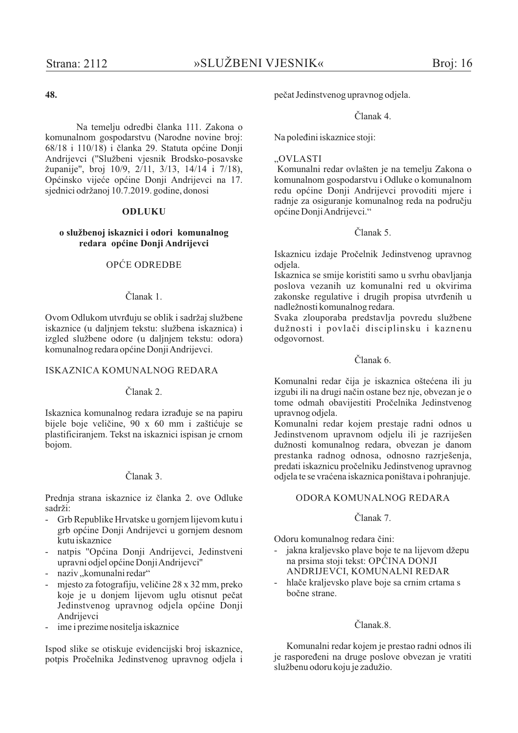# 48.

Na temelju odredbi članka 111. Zakona o komunalnom gospodarstvu (Narodne novine broj: 68/18 i 110/18) i članka 29. Statuta općine Donji Andrijevci ("Službeni vjesnik Brodsko-posavske županije", broj 10/9, 2/11, 3/13, 14/14 i 7/18), Općinsko vijeće općine Donji Andrijevci na 17. sjednici održanoj 10.7.2019. godine, donosi

### **ODLUKU**

### o službenoj iskaznici i odori komunalnog redara općine Donji Andrijevci

### OPĆE ODREDBE

#### Članak 1

Ovom Odlukom utvrđuju se oblik i sadržaj službene iskaznice (u daljnjem tekstu: službena iskaznica) i izgled službene odore (u daljnjem tekstu: odora) komunalnog redara općine Donji Andrijevci.

### **ISKAZNICA KOMUNALNOG REDARA**

#### Članak 2

Iskaznica komunalnog redara izrađuje se na papiru bijele boje veličine, 90 x 60 mm i zaštićuje se plastificiraniem. Tekst na iskaznici ispisan je crnom boiom.

# Članak 3.

Prednja strana iskaznice iz članka 2. ove Odluke sadrži:

- Grb Republike Hrvatske u gornjem lijevom kutu i grb općine Donji Andrijevci u gornjem desnom kutu iskaznice
- natpis "Općina Donji Andrijevci, Jedinstveni upravni odjel općine Donji Andrijevci"
- naziv, komunalni redar"
- mjesto za fotografiju, veličine 28 x 32 mm, preko koje je u donjem lijevom uglu otisnut pečat Jedinstvenog upravnog odjela općine Donij Andrijevci
- ime i prezime nositelja iskaznice

Ispod slike se otiskuje evidencijski broj iskaznice, potpis Pročelnika Jedinstvenog upravnog odjela i

pečat Jedinstvenog upravnog odjela.

#### Članak 4

Na poleđini iskaznice stoji:

#### .. OVLASTI

Komunalni redar ovlašten je na temelju Zakona o komunalnom gospodarstvu i Odluke o komunalnom redu općine Donji Andrijevci provoditi mjere i radnje za osiguranje komunalnog reda na području općine Donji Andrijevci."

#### $\check{\text{C}}$ lanak 5.

Iskaznicu izdaje Pročelnik Jedinstvenog upravnog odiela.

Iskaznica se smije koristiti samo u svrhu obavljanja poslova vezanih uz komunalni red u okvirima zakonske regulative i drugih propisa utvrđenih u nadležnosti komunalnog redara.

Svaka zlouporaba predstavlja povredu službene dužnosti i povlači disciplinsku i kaznenu odgovornost.

#### $\check{\text{C}}$ lanak 6

Komunalni redar čija je iskaznica oštećena ili ju izgubi ili na drugi način ostane bez nje, obvezan je o tome odmah obavijestiti Pročelnika Jedinstvenog upravnog odjela.

Komunalni redar kojem prestaje radni odnos u Jedinstvenom upravnom odjelu ili je razriješen dužnosti komunalnog redara, obvezan je danom prestanka radnog odnosa, odnosno razrješenja, predati iskaznicu pročelniku Jedinstvenog upravnog odjela te se vraćena iskaznica poništava i pohranjuje.

#### ODORA KOMUNALNOG REDARA

### Članak 7.

Odoru komunalnog redara čini:

- jakna kraljevsko plave boje te na lijevom džepu  $\mathbf{r}$ na prsima stoji tekst: OPĆINA DONJI ANDRIJEVCI, KOMUNALNI REDAR
- hlače kraljevsko plave boje sa crnim crtama s bočne strane.

### Članak.8.

Komunalni redar kojem je prestao radni odnos ili je raspoređeni na druge poslove obvezan je vratiti službenu odoru koju je zadužio.